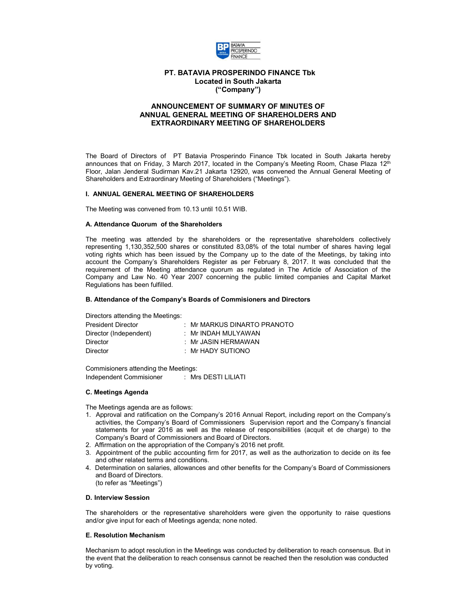

# **PT. BATAVIA PROSPERINDO FINANCE Tbk Located in South Jakarta ("Company")**

# **ANNOUNCEMENT OF SUMMARY OF MINUTES OF ANNUAL GENERAL MEETING OF SHAREHOLDERS AND EXTRAORDINARY MEETING OF SHAREHOLDERS**

The Board of Directors of PT Batavia Prosperindo Finance Tbk located in South Jakarta hereby announces that on Friday, 3 March 2017, located in the Company's Meeting Room, Chase Plaza 12<sup>th</sup> Floor, Jalan Jenderal Sudirman Kav.21 Jakarta 12920, was convened the Annual General Meeting of Shareholders and Extraordinary Meeting of Shareholders ("Meetings").

### **I. ANNUAL GENERAL MEETING OF SHAREHOLDERS**

The Meeting was convened from 10.13 until 10.51 WIB.

#### **A. Attendance Quorum of the Shareholders**

The meeting was attended by the shareholders or the representative shareholders collectively representing 1,130,352,500 shares or constituted 83,08% of the total number of shares having legal voting rights which has been issued by the Company up to the date of the Meetings, by taking into account the Company's Shareholders Register as per February 8, 2017. It was concluded that the requirement of the Meeting attendance quorum as regulated in The Article of Association of the Company and Law No. 40 Year 2007 concerning the public limited companies and Capital Market Regulations has been fulfilled.

#### **B. Attendance of the Company's Boards of Commisioners and Directors**

Directors attending the Meetings:

| $\pm$ Mr MARKUS DINARTO PRANOTO |
|---------------------------------|
| : Mr INDAH MULYAWAN             |
| : Mr JASIN HERMAWAN             |
| $\pm$ Mr HADY SUTIONO           |
|                                 |

Commisioners attending the Meetings: Independent Commisioner : Mrs DESTI LILIATI

### **C. Meetings Agenda**

The Meetings agenda are as follows:

- 1. Approval and ratification on the Company's 2016 Annual Report, including report on the Company's activities, the Company's Board of Commissioners Supervision report and the Company's financial statements for year 2016 as well as the release of responsibilities (acquit et de charge) to the Company's Board of Commissioners and Board of Directors.
- 2. Affirmation on the appropriation of the Company's 2016 net profit.
- 3. Appointment of the public accounting firm for 2017, as well as the authorization to decide on its fee and other related terms and conditions.
- 4. Determination on salaries, allowances and other benefits for the Company's Board of Commissioners and Board of Directors. (to refer as "Meetings")

#### **D. Interview Session**

The shareholders or the representative shareholders were given the opportunity to raise questions and/or give input for each of Meetings agenda; none noted.

#### **E. Resolution Mechanism**

Mechanism to adopt resolution in the Meetings was conducted by deliberation to reach consensus. But in the event that the deliberation to reach consensus cannot be reached then the resolution was conducted by voting.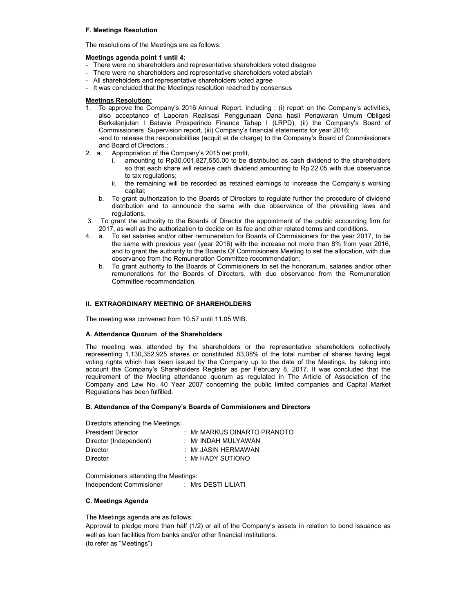### **F. Meetings Resolution**

The resolutions of the Meetings are as follows:

### **Meetings agenda point 1 until 4:**

- There were no shareholders and representative shareholders voted disagree
- There were no shareholders and representative shareholders voted abstain
- All shareholders and representative shareholders voted agree
- It was concluded that the Meetings resolution reached by consensus

## **Meetings Resolution:**

- 1. To approve the Company's 2016 Annual Report, including : (i) report on the Company's activities, also acceptance of Laporan Realisasi Penggunaan Dana hasil Penawaran Umum Obligasi Berkelanjutan I Batavia Prosperindo Finance Tahap I (LRPD), (ii) the Company's Board of Commissioners Supervision report, (iii) Company's financial statements for year 2016; -and to release the responsibilities (acquit et de charge) to the Company's Board of Commissioners
- and Board of Directors.;<br>2. a. Appropriation of the
- Appropriation of the Company's 2015 net profit,
	- i. amounting to Rp30,001,827,555.00 to be distributed as cash dividend to the shareholders so that each share will receive cash dividend amounting to Rp.22.05 with due observance to tax regulations;
	- ii. the remaining will be recorded as retained earnings to increase the Company's working capital;
	- b. To grant authorization to the Boards of Directors to regulate further the procedure of dividend distribution and to announce the same with due observance of the prevailing laws and regulations.
- 3. To grant the authority to the Boards of Director the appointment of the public accounting firm for 2017, as well as the authorization to decide on its fee and other related terms and conditions.
- 4. a. To set salaries and/or other remuneration for Boards of Commisioners for the year 2017, to be the same with previous year (year 2016) with the increase not more than 8% from year 2016, and to grant the authority to the Boards Of Commisioners Meeting to set the allocation, with due observance from the Remuneration Committee recommendation;
	- b. To grant authority to the Boards of Commisioners to set the honorarium, salaries and/or other remunerations for the Boards of Directors, with due observance from the Remuneration Committee recommendation*.*

## **II. EXTRAORDINARY MEETING OF SHAREHOLDERS**

The meeting was convened from 10.57 until 11.05 WIB.

### **A. Attendance Quorum of the Shareholders**

The meeting was attended by the shareholders or the representative shareholders collectively representing 1,130,352,925 shares or constituted 83,08% of the total number of shares having legal voting rights which has been issued by the Company up to the date of the Meetings, by taking into account the Company's Shareholders Register as per February 8, 2017. It was concluded that the requirement of the Meeting attendance quorum as regulated in The Article of Association of the Company and Law No. 40 Year 2007 concerning the public limited companies and Capital Market Regulations has been fulfilled.

### **B. Attendance of the Company's Boards of Commisioners and Directors**

Directors attending the Meetings:

| <b>President Director</b> | $\pm$ Mr MARKUS DINARTO PRANOTO |
|---------------------------|---------------------------------|
| Director (Independent)    | : Mr INDAH MULYAWAN             |
| <b>Director</b>           | : Mr JASIN HERMAWAN             |
| <b>Director</b>           | $\pm$ Mr HADY SUTIONO           |
|                           |                                 |

Commisioners attending the Meetings: Independent Commisioner : Mrs DESTI LILIATI

### **C. Meetings Agenda**

The Meetings agenda are as follows:

Approval to pledge more than half (1/2) or all of the Company's assets in relation to bond issuance as well as loan facilities from banks and/or other financial institutions. (to refer as "Meetings")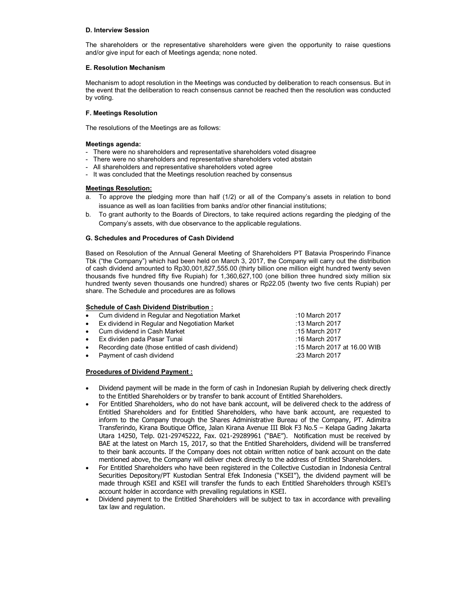## **D. Interview Session**

The shareholders or the representative shareholders were given the opportunity to raise questions and/or give input for each of Meetings agenda; none noted.

## **E. Resolution Mechanism**

Mechanism to adopt resolution in the Meetings was conducted by deliberation to reach consensus. But in the event that the deliberation to reach consensus cannot be reached then the resolution was conducted by voting.

# **F. Meetings Resolution**

The resolutions of the Meetings are as follows:

# **Meetings agenda:**

- There were no shareholders and representative shareholders voted disagree
- There were no shareholders and representative shareholders voted abstain
- All shareholders and representative shareholders voted agree
- It was concluded that the Meetings resolution reached by consensus

# **Meetings Resolution:**

- a. To approve the pledging more than half (1/2) or all of the Company's assets in relation to bond issuance as well as loan facilities from banks and/or other financial institutions;
- b. To grant authority to the Boards of Directors, to take required actions regarding the pledging of the Company's assets, with due observance to the applicable regulations.

## **G. Schedules and Procedures of Cash Dividend**

Based on Resolution of the Annual General Meeting of Shareholders PT Batavia Prosperindo Finance Tbk ("the Company") which had been held on March 3, 2017, the Company will carry out the distribution of cash dividend amounted to Rp30,001,827,555.00 (thirty billion one million eight hundred twenty seven thousands five hundred fifty five Rupiah) for 1,360,627,100 (one billion three hundred sixty million six hundred twenty seven thousands one hundred) shares or Rp22.05 (twenty two five cents Rupiah) per share. The Schedule and procedures are as follows

## **Schedule of Cash Dividend Distribution :**

|           | • Cum dividend in Regular and Negotiation Market | :10 March 2017              |
|-----------|--------------------------------------------------|-----------------------------|
|           | • Ex dividend in Regular and Negotiation Market  | :13 March 2017              |
|           | • Cum dividend in Cash Market                    | :15 March 2017              |
|           | • Ex dividen pada Pasar Tunai                    | :16 March 2017              |
| $\bullet$ | Recording date (those entitled of cash dividend) | :15 March 2017 at 16.00 WIB |
|           | • Payment of cash dividend                       | :23 March 2017              |
|           |                                                  |                             |

### **Procedures of Dividend Payment :**

- Dividend payment will be made in the form of cash in Indonesian Rupiah by delivering check directly to the Entitled Shareholders or by transfer to bank account of Entitled Shareholders.
- For Entitled Shareholders, who do not have bank account, will be delivered check to the address of Entitled Shareholders and for Entitled Shareholders, who have bank account, are requested to inform to the Company through the Shares Administrative Bureau of the Company, PT. Adimitra Transferindo, Kirana Boutique Office, Jalan Kirana Avenue III Blok F3 No.5 – Kelapa Gading Jakarta Utara 14250, Telp. 021-29745222, Fax. 021-29289961 ("BAE"). Notification must be received by BAE at the latest on March 15, 2017, so that the Entitled Shareholders, dividend will be transferred to their bank accounts. If the Company does not obtain written notice of bank account on the date mentioned above, the Company will deliver check directly to the address of Entitled Shareholders.
- For Entitled Shareholders who have been registered in the Collective Custodian in Indonesia Central Securities Depository/PT Kustodian Sentral Efek Indonesia ("KSEI"), the dividend payment will be made through KSEI and KSEI will transfer the funds to each Entitled Shareholders through KSEI's account holder in accordance with prevailing regulations in KSEI.
- Dividend payment to the Entitled Shareholders will be subject to tax in accordance with prevailing tax law and regulation.